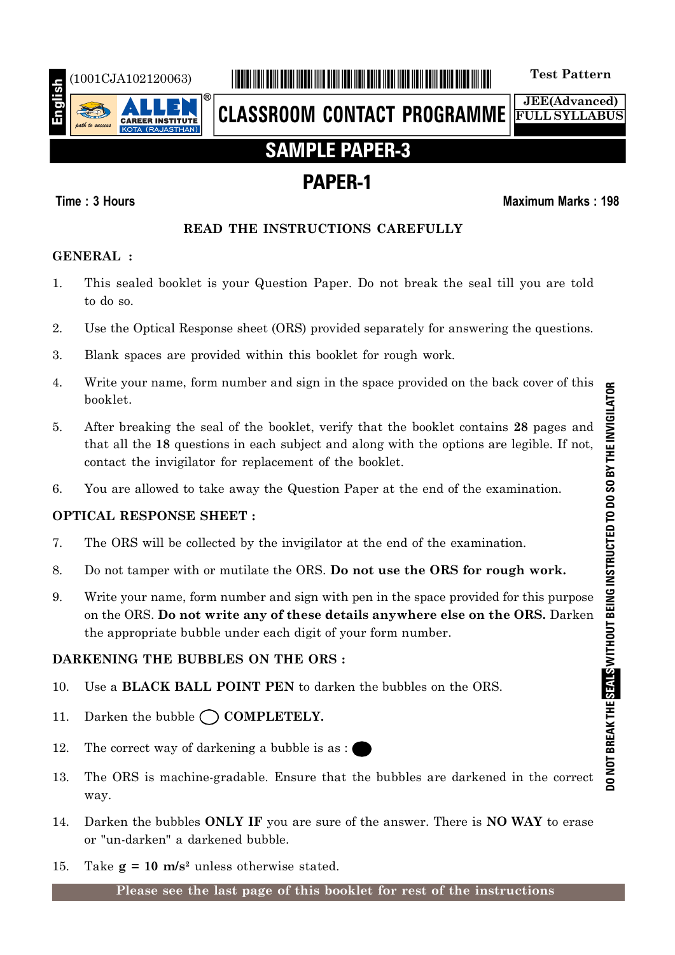

## (1001CJA102120063) \*1001CJA102120063\* **Test Pattern**

**CLASSROOM CONTACT PROGRAMME**

**JEE(Advanced) FULL SYLLABUS**

## **SAMPLE PAPER-3**

## **PAPER-1**

## **Time : 3 Hours Maximum Marks : 198**

## **READ THE INSTRUCTIONS CAREFULLY**

## **GENERAL :**

- 1. This sealed booklet is your Question Paper. Do not break the seal till you are told to do so.
- 2. Use the Optical Response sheet (ORS) provided separately for answering the questions.
- 3. Blank spaces are provided within this booklet for rough work.
- 4. Write your name, form number and sign in the space provided on the back cover of this booklet.
- 5. After breaking the seal of the booklet, verify that the booklet contains **28** pages and that all the **18** questions in each subject and along with the options are legible. If not, contact the invigilator for replacement of the booklet.
- 6. You are allowed to take away the Question Paper at the end of the examination.

## **OPTICAL RESPONSE SHEET :**

- 7. The ORS will be collected by the invigilator at the end of the examination.
- 8. Do not tamper with or mutilate the ORS. **Do not use the ORS for rough work.**
- 9. Write your name, form number and sign with pen in the space provided for this purpose on the ORS. **Do not write any of these details anywhere else on the ORS.** Darken the appropriate bubble under each digit of your form number.

## **DARKENING THE BUBBLES ON THE ORS :**

- 10. Use a **BLACK BALL POINT PEN** to darken the bubbles on the ORS.
- 11. Darken the bubble  $\bigcap$  **COMPLETELY.**
- 12. The correct way of darkening a bubble is as :
- 13. The ORS is machine-gradable. Ensure that the bubbles are darkened in the correct way.
- 14. Darken the bubbles **ONLY IF** you are sure of the answer. There is **NO WAY** to erase or "un-darken" a darkened bubble.
- 15. Take  $g = 10$  m/s<sup>2</sup> unless otherwise stated.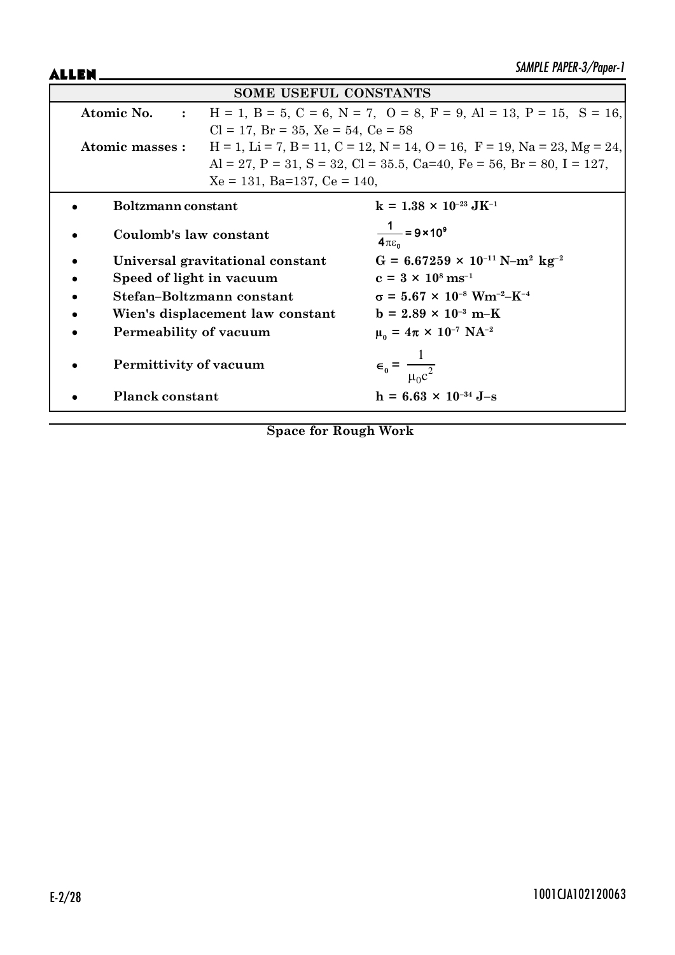ALLEN\_

| <b>SOME USEFUL CONSTANTS</b>     |                                                                                                               |                                                                                                     |  |  |  |
|----------------------------------|---------------------------------------------------------------------------------------------------------------|-----------------------------------------------------------------------------------------------------|--|--|--|
|                                  | $H = 1$ , $B = 5$ , $C = 6$ , $N = 7$ , $O = 8$ , $F = 9$ , $Al = 13$ , $P = 15$ , $S = 16$ ,<br>Atomic No. : |                                                                                                     |  |  |  |
|                                  | $Cl = 17$ , $Br = 35$ , $Xe = 54$ , $Ce = 58$                                                                 |                                                                                                     |  |  |  |
| Atomic masses :                  |                                                                                                               | $H = 1$ , $Li = 7$ , $B = 11$ , $C = 12$ , $N = 14$ , $O = 16$ , $F = 19$ , $Na = 23$ , $Mg = 24$ , |  |  |  |
|                                  |                                                                                                               | Al = 27, P = 31, S = 32, Cl = 35.5, Ca=40, Fe = 56, Br = 80, I = 127,                               |  |  |  |
|                                  | $Xe = 131$ , Ba=137, Ce = 140,                                                                                |                                                                                                     |  |  |  |
| Boltzmann constant               |                                                                                                               | $k = 1.38 \times 10^{-23} \text{ J} \text{K}^{-1}$                                                  |  |  |  |
| Coulomb's law constant           |                                                                                                               | $\frac{1}{4\pi\epsilon_0}$ = 9 × 10 <sup>9</sup>                                                    |  |  |  |
| Universal gravitational constant |                                                                                                               | $G = 6.67259 \times 10^{-11} \text{ N} - \text{m}^2 \text{ kg}^{-2}$                                |  |  |  |
| Speed of light in vacuum         |                                                                                                               | $c = 3 \times 10^8 \text{ ms}^{-1}$                                                                 |  |  |  |
| Stefan-Boltzmann constant        |                                                                                                               | $\sigma = 5.67 \times 10^{-8}$ Wm <sup>-2</sup> -K <sup>-4</sup>                                    |  |  |  |
| Wien's displacement law constant |                                                                                                               | $b = 2.89 \times 10^{-3} \text{ m-K}$                                                               |  |  |  |
| Permeability of vacuum           |                                                                                                               | $\mu_0 = 4\pi \times 10^{-7} \text{ NA}^{-2}$                                                       |  |  |  |
| Permittivity of vacuum           |                                                                                                               | $\epsilon_0 = \frac{1}{\mu_0 c^2}$                                                                  |  |  |  |
| <b>Planck constant</b>           |                                                                                                               | $h = 6.63 \times 10^{-34}$ J-s                                                                      |  |  |  |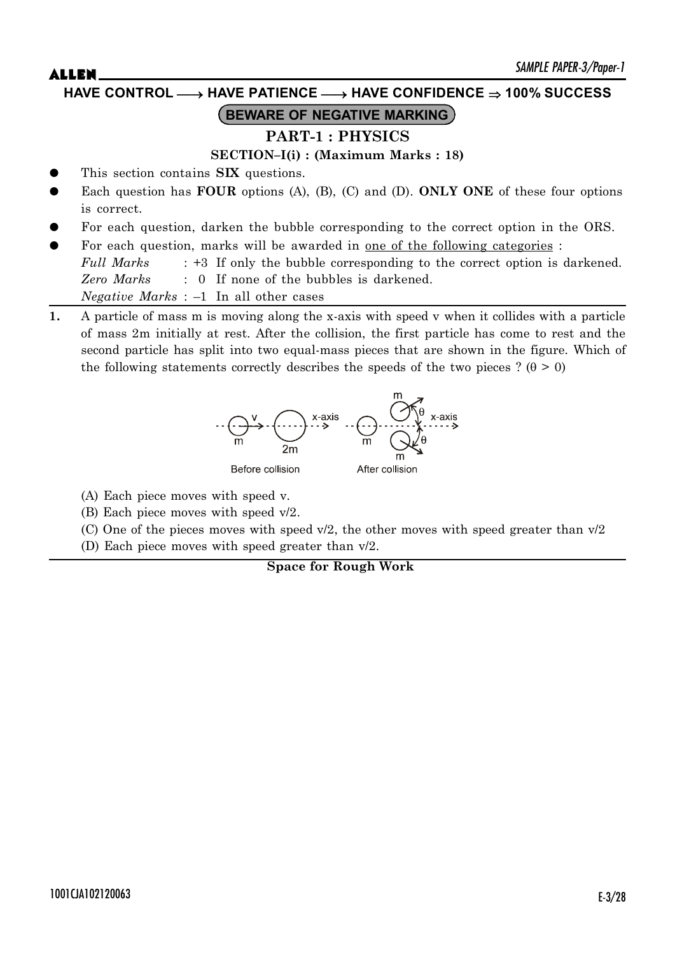## **HAVE CONTROL** o **HAVE PATIENCE** o **HAVE CONFIDENCE 100% SUCCESS**

# **BEWARE OF NEGATIVE MARKING**

## **PART-1 : PHYSICS**

**SECTION–I(i) : (Maximum Marks : 18)**

- This section contains **SIX** questions.
- Each question has **FOUR** options (A), (B), (C) and (D). **ONLY ONE** of these four options is correct.
- For each question, darken the bubble corresponding to the correct option in the ORS.
- For each question, marks will be awarded in <u>one of the following categories</u> :

*Full Marks* : +3 If only the bubble corresponding to the correct option is darkened. *Zero Marks* : 0 If none of the bubbles is darkened. *Negative Marks* : –1 In all other cases

**1.** A particle of mass m is moving along the x-axis with speed v when it collides with a particle of mass 2m initially at rest. After the collision, the first particle has come to rest and the second particle has split into two equal-mass pieces that are shown in the figure. Which of the following statements correctly describes the speeds of the two pieces ? ( $\theta > 0$ )



- (A) Each piece moves with speed v.
- (B) Each piece moves with speed v/2.
- (C) One of the pieces moves with speed  $v/2$ , the other moves with speed greater than  $v/2$
- (D) Each piece moves with speed greater than v/2.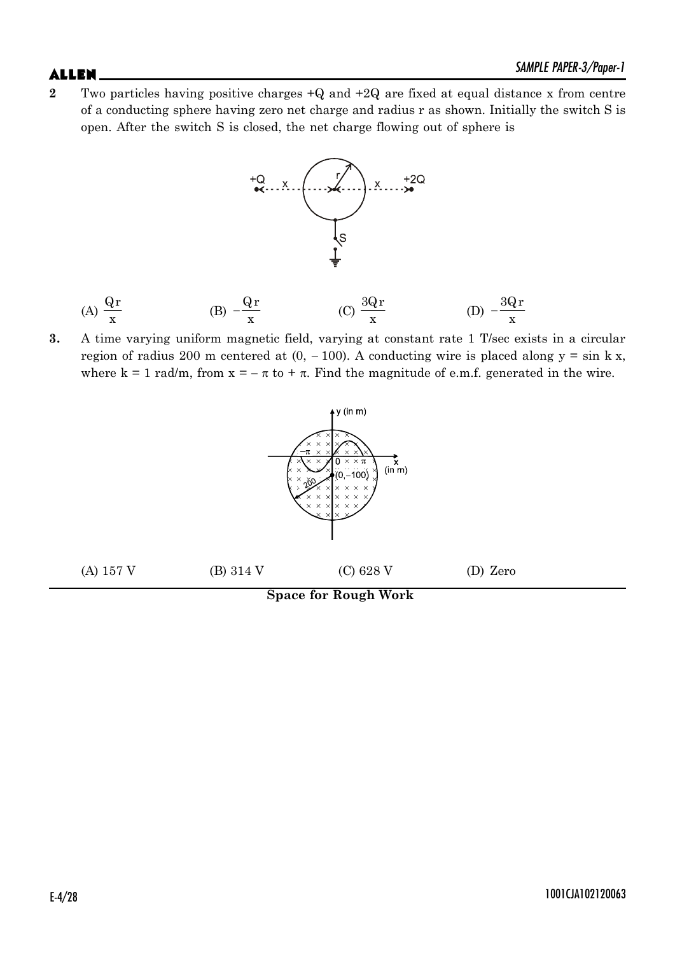**2** Two particles having positive charges +Q and +2Q are fixed at equal distance x from centre of a conducting sphere having zero net charge and radius r as shown. Initially the switch S is open. After the switch S is closed, the net charge flowing out of sphere is



(A) 
$$
\frac{Qr}{x}
$$
 \t\t (B)  $-\frac{Qr}{x}$  \t\t (C)  $\frac{3Qr}{x}$  \t\t (D)  $-\frac{3Qr}{x}$ 

**3.** A time varying uniform magnetic field, varying at constant rate 1 T/sec exists in a circular region of radius 200 m centered at  $(0, -100)$ . A conducting wire is placed along  $y = \sin k x$ , where k = 1 rad/m, from  $x = -\pi$  to +  $\pi$ . Find the magnitude of e.m.f. generated in the wire.



## E-4/28 1001CJA102120063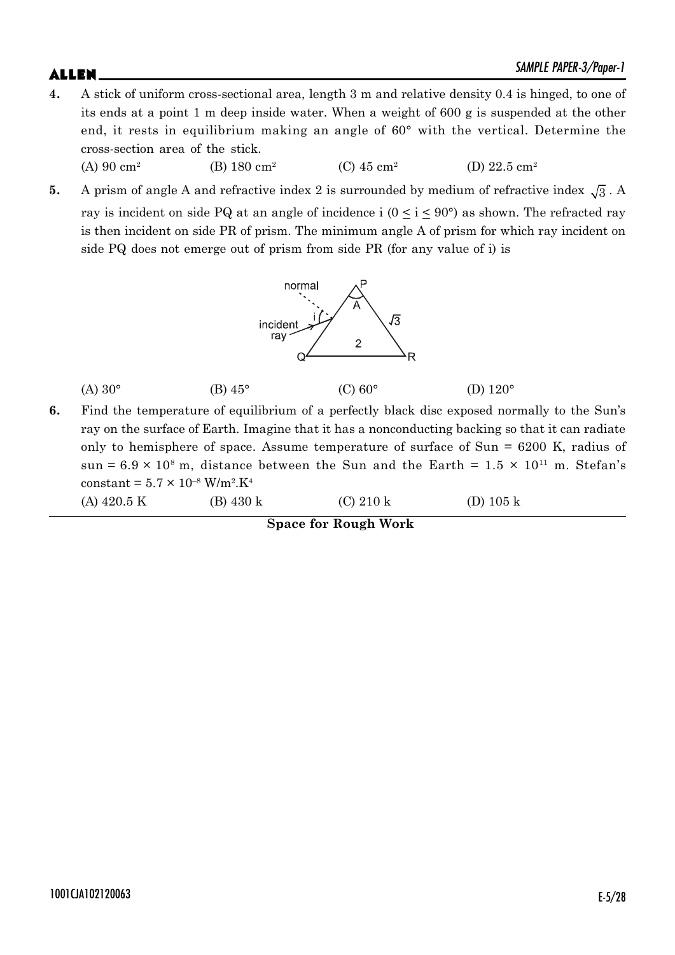- **4.** A stick of uniform cross-sectional area, length 3 m and relative density 0.4 is hinged, to one of its ends at a point 1 m deep inside water. When a weight of 600 g is suspended at the other end, it rests in equilibrium making an angle of 60° with the vertical. Determine the cross-section area of the stick. (A) 90 cm<sup>2</sup> (B) 180 cm<sup>2</sup> (C)  $45 \text{ cm}^2$ (D) 22.5 cm<sup>2</sup>
- **5.** A prism of angle A and refractive index 2 is surrounded by medium of refractive index  $\sqrt{3}$ . A ray is incident on side PQ at an angle of incidence i  $(0 \le i \le 90^{\circ})$  as shown. The refracted ray is then incident on side PR of prism. The minimum angle A of prism for which ray incident on side PQ does not emerge out of prism from side PR (for any value of i) is



| $(A) 30^{\circ}$ | (B) $45^{\circ}$ | $(C)$ 60° | (D) $120^\circ$ |
|------------------|------------------|-----------|-----------------|
|                  |                  |           |                 |

**6.** Find the temperature of equilibrium of a perfectly black disc exposed normally to the Sun's ray on the surface of Earth. Imagine that it has a nonconducting backing so that it can radiate only to hemisphere of space. Assume temperature of surface of Sun = 6200 K, radius of sun =  $6.9 \times 10^8$  m, distance between the Sun and the Earth =  $1.5 \times 10^{11}$  m. Stefan's constant =  $5.7 \times 10^{-8}$  W/m<sup>2</sup>.K<sup>4</sup>

(A) 420.5 K (B) 430 k (C) 210 k (D) 105 k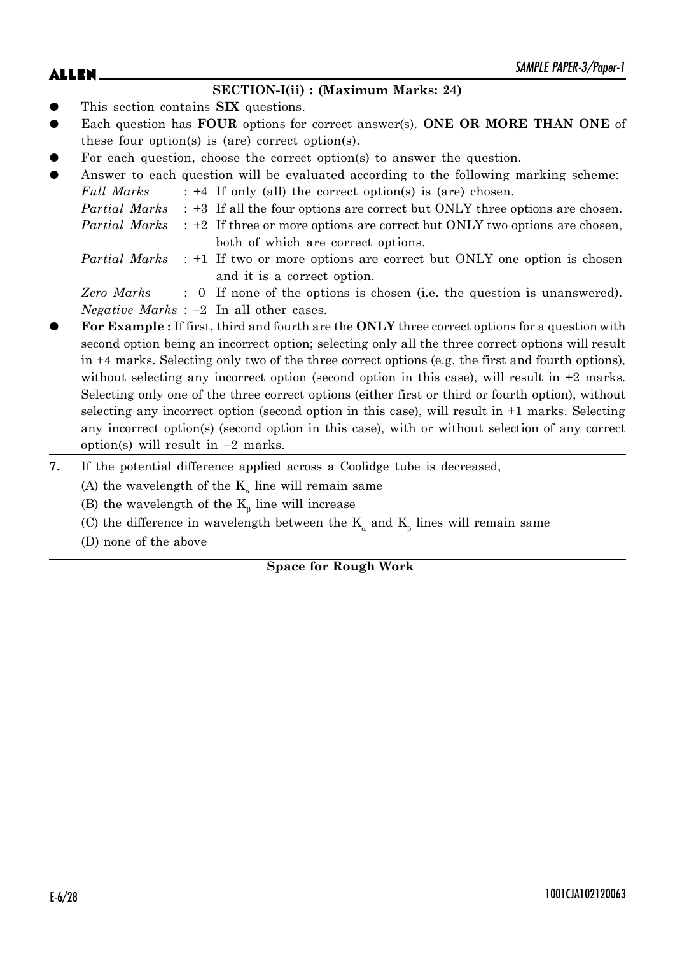## $\mathsf{ALLEN}$   $\blacksquare$

## **SECTION-I(ii) : (Maximum Marks: 24)**

- This section contains **SIX** questions.
- Each question has **FOUR** options for correct answer(s). **ONE OR MORE THAN ONE** of these four option(s) is (are) correct option(s).
- For each question, choose the correct option(s) to answer the question.
- Answer to each question will be evaluated according to the following marking scheme: *Full Marks* : +4 If only (all) the correct option(s) is (are) chosen.

| <i>Partial Marks</i> : +3 If all the four options are correct but ONLY three options are chosen. |
|--------------------------------------------------------------------------------------------------|
|                                                                                                  |

- *Partial Marks* : +2 If three or more options are correct but ONLY two options are chosen, both of which are correct options.
- *Partial Marks* : +1 If two or more options are correct but ONLY one option is chosen and it is a correct option.

*Zero Marks* : 0 If none of the options is chosen (i.e. the question is unanswered). *Negative Marks* : –2 In all other cases.

- z **For Example :** If first, third and fourth are the **ONLY** three correct options for a question with second option being an incorrect option; selecting only all the three correct options will result in +4 marks. Selecting only two of the three correct options (e.g. the first and fourth options), without selecting any incorrect option (second option in this case), will result in  $+2$  marks. Selecting only one of the three correct options (either first or third or fourth option), without selecting any incorrect option (second option in this case), will result in +1 marks. Selecting any incorrect option(s) (second option in this case), with or without selection of any correct option(s) will result in –2 marks.
- **7.** If the potential difference applied across a Coolidge tube is decreased,
	- (A) the wavelength of the  $K_a$  line will remain same
	- (B) the wavelength of the  $K_{\beta}$  line will increase
	- (C) the difference in wavelength between the  $K_a$  and  $K_\beta$  lines will remain same
	- (D) none of the above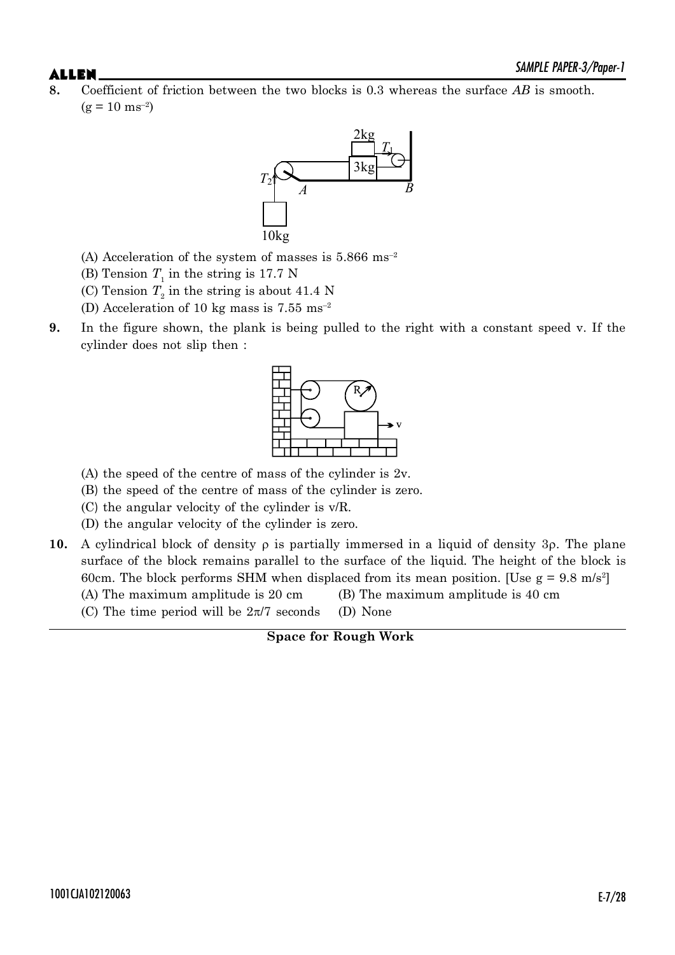$\mathsf{ALLEN}$   $\blacksquare$ **8.** Coefficient of friction between the two blocks is 0.3 whereas the surface *AB* is smooth.  $(g = 10 \text{ ms}^{-2})$ 



- (A) Acceleration of the system of masses is  $5.866 \text{ ms}^{-2}$
- (B) Tension  $T_1$  in the string is 17.7 N
- (C) Tension  $T<sub>2</sub>$  in the string is about 41.4 N
- (D) Acceleration of 10 kg mass is 7.55 ms–2
- **9.** In the figure shown, the plank is being pulled to the right with a constant speed v. If the cylinder does not slip then :



- (A) the speed of the centre of mass of the cylinder is 2v.
- (B) the speed of the centre of mass of the cylinder is zero.
- (C) the angular velocity of the cylinder is v/R.
- (D) the angular velocity of the cylinder is zero.
- **10.** A cylindrical block of density  $\rho$  is partially immersed in a liquid of density 3 $\rho$ . The plane surface of the block remains parallel to the surface of the liquid. The height of the block is 60cm. The block performs SHM when displaced from its mean position. [Use  $g = 9.8$  m/s<sup>2</sup>] (A) The maximum amplitude is 20 cm (B) The maximum amplitude is 40 cm
	- (C) The time period will be  $2\pi/7$  seconds (D) None

**Space for Rough Work**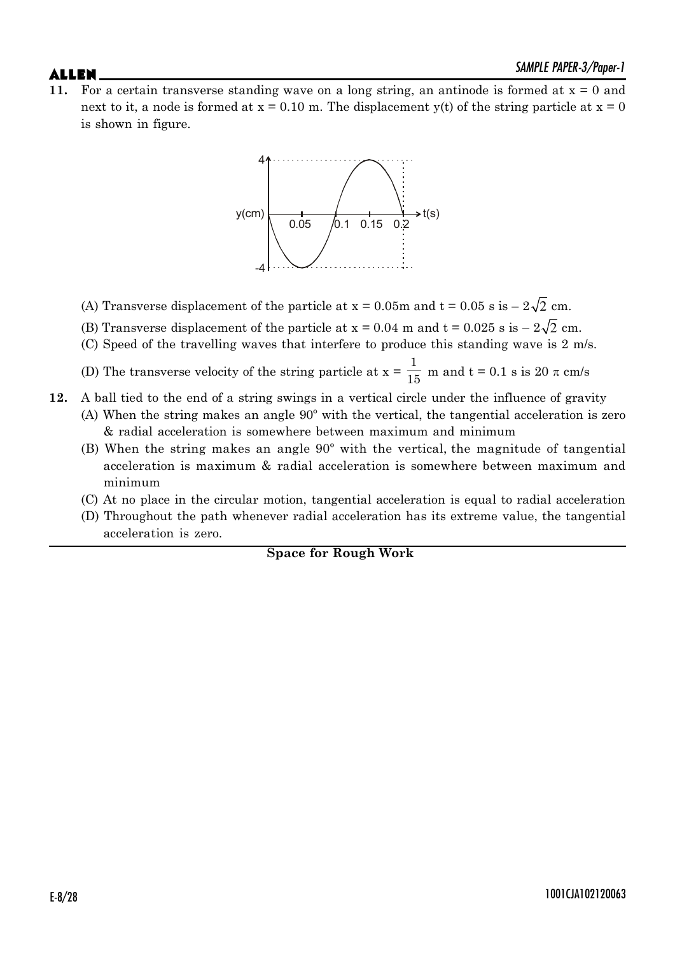**11.** For a certain transverse standing wave on a long string, an antinode is formed at  $x = 0$  and next to it, a node is formed at  $x = 0.10$  m. The displacement y(t) of the string particle at  $x = 0$ is shown in figure.



- (A) Transverse displacement of the particle at  $x = 0.05m$  and  $t = 0.05 s$  is  $-2\sqrt{2}$  cm.
- (B) Transverse displacement of the particle at  $x = 0.04$  m and  $t = 0.025$  s is  $-2\sqrt{2}$  cm.
- (C) Speed of the travelling waves that interfere to produce this standing wave is 2 m/s.

(D) The transverse velocity of the string particle at  $x = \frac{1}{15}$  m and  $t = 0.1$  s is 20  $\pi$  cm/s

- **12.** A ball tied to the end of a string swings in a vertical circle under the influence of gravity (A) When the string makes an angle 90º with the vertical, the tangential acceleration is zero & radial acceleration is somewhere between maximum and minimum
	- (B) When the string makes an angle 90º with the vertical, the magnitude of tangential acceleration is maximum & radial acceleration is somewhere between maximum and minimum
	- (C) At no place in the circular motion, tangential acceleration is equal to radial acceleration
	- (D) Throughout the path whenever radial acceleration has its extreme value, the tangential acceleration is zero.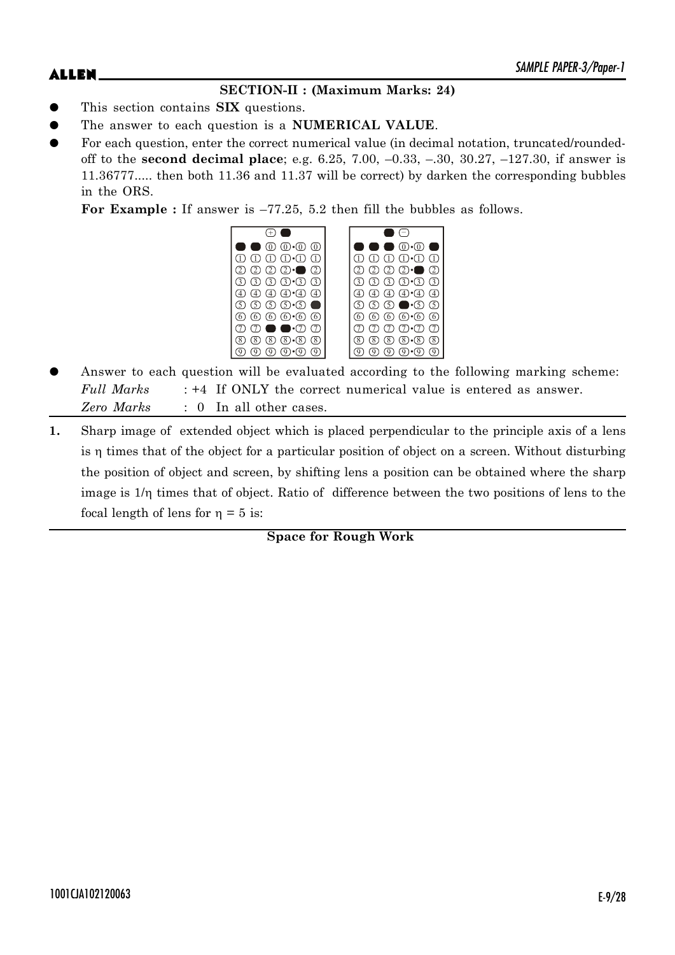## $\mathsf{ALLEN}$   $\blacksquare$

## **SECTION-II : (Maximum Marks: 24)**

- This section contains **SIX** questions.
- The answer to each question is a **NUMERICAL VALUE**.
- For each question, enter the correct numerical value (in decimal notation, truncated/roundedoff to the **second decimal place**; e.g. 6.25, 7.00, –0.33, –.30, 30.27, –127.30, if answer is 11.36777..... then both 11.36 and 11.37 will be correct) by darken the corresponding bubbles in the ORS.

**For Example :** If answer is –77.25, 5.2 then fill the bubbles as follows.



- Answer to each question will be evaluated according to the following marking scheme: *Full Marks* : +4 If ONLY the correct numerical value is entered as answer. *Zero Marks* : 0 In all other cases.
- **1.** Sharp image of extended object which is placed perpendicular to the principle axis of a lens is  $\eta$  times that of the object for a particular position of object on a screen. Without disturbing the position of object and screen, by shifting lens a position can be obtained where the sharp image is  $1/\eta$  times that of object. Ratio of difference between the two positions of lens to the focal length of lens for  $\eta = 5$  is: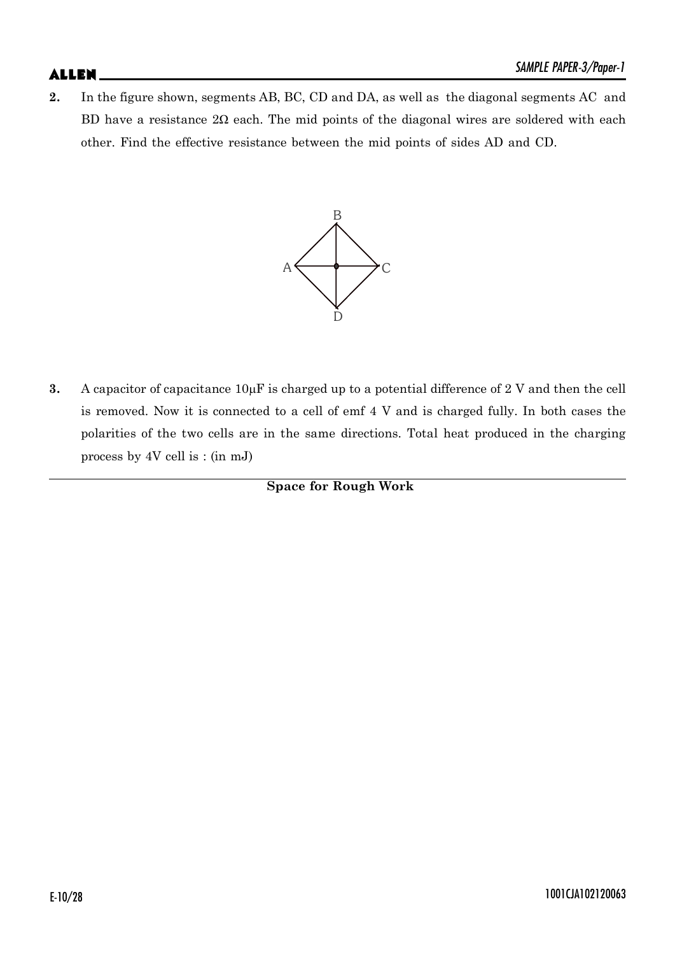## $\mathsf{ALLEN}$   $\blacksquare$

**2.** In the figure shown, segments AB, BC, CD and DA, as well as the diagonal segments AC and BD have a resistance  $2\Omega$  each. The mid points of the diagonal wires are soldered with each other. Find the effective resistance between the mid points of sides AD and CD.



**3.** A capacitor of capacitance  $10\mu$ F is charged up to a potential difference of 2 V and then the cell is removed. Now it is connected to a cell of emf 4 V and is charged fully. In both cases the polarities of the two cells are in the same directions. Total heat produced in the charging process by 4V cell is : (in mJ)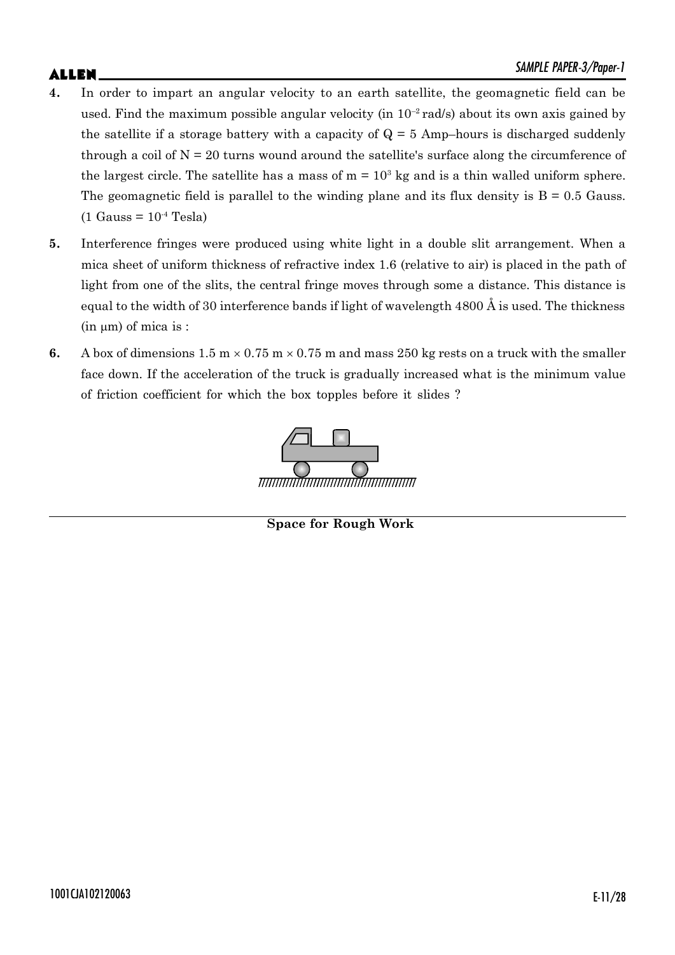- **4.** In order to impart an angular velocity to an earth satellite, the geomagnetic field can be used. Find the maximum possible angular velocity (in  $10^{-2}$  rad/s) about its own axis gained by the satellite if a storage battery with a capacity of  $Q = 5$  Amp–hours is discharged suddenly through a coil of  $N = 20$  turns wound around the satellite's surface along the circumference of the largest circle. The satellite has a mass of  $m = 10<sup>3</sup>$  kg and is a thin walled uniform sphere. The geomagnetic field is parallel to the winding plane and its flux density is  $B = 0.5$  Gauss.  $(1$  Gauss =  $10^{-4}$  Tesla)
- **5.** Interference fringes were produced using white light in a double slit arrangement. When a mica sheet of uniform thickness of refractive index 1.6 (relative to air) is placed in the path of light from one of the slits, the central fringe moves through some a distance. This distance is equal to the width of 30 interference bands if light of wavelength 4800 Å is used. The thickness  $(in \mu m)$  of mica is :
- **6.** A box of dimensions  $1.5 \text{ m} \times 0.75 \text{ m} \times 0.75 \text{ m}$  and mass 250 kg rests on a truck with the smaller face down. If the acceleration of the truck is gradually increased what is the minimum value of friction coefficient for which the box topples before it slides ?

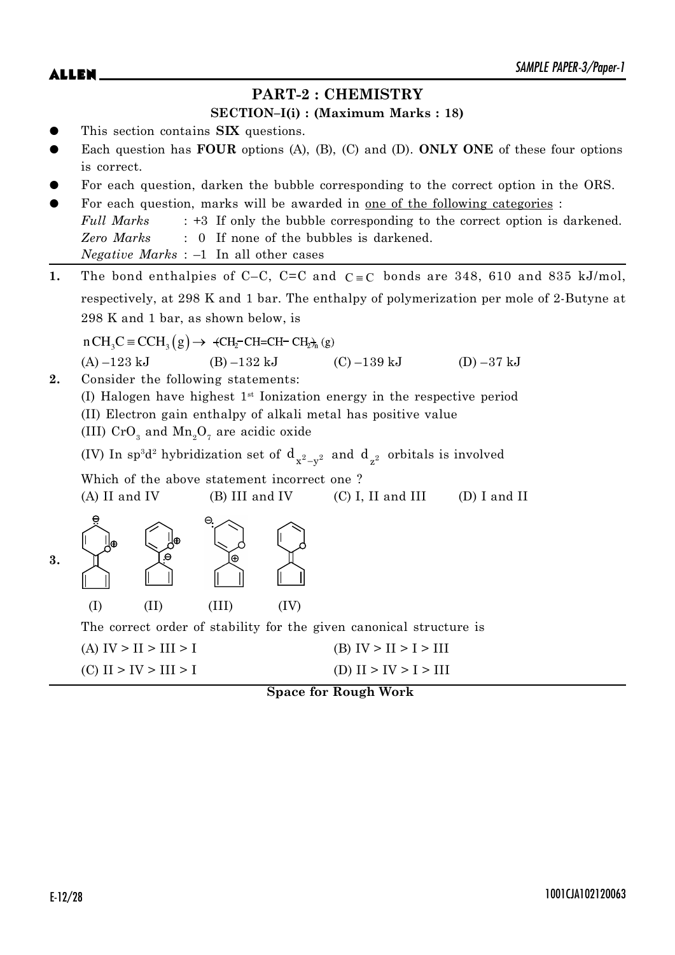## **PART-2 : CHEMISTRY**

### **SECTION–I(i) : (Maximum Marks : 18)**

- z This section contains **SIX** questions.
- Each question has **FOUR** options (A), (B), (C) and (D). **ONLY ONE** of these four options is correct.
- For each question, darken the bubble corresponding to the correct option in the ORS.
- For each question, marks will be awarded in one of the following categories : *Full Marks* : +3 If only the bubble corresponding to the correct option is darkened. *Zero Marks* : 0 If none of the bubbles is darkened. *Negative Marks* : –1 In all other cases
- **1.** The bond enthalpies of C–C, C=C and  $C \equiv C$  bonds are 348, 610 and 835 kJ/mol, respectively, at 298 K and 1 bar. The enthalpy of polymerization per mole of 2-Butyne at 298 K and 1 bar, as shown below, is

 $nCH_3C \equiv CCH_3(g) \rightarrow \text{+CH}_7\text{-CH}=CH\text{-} CH_2\text{-}h(g)$ (A)  $-123 \text{ kJ}$  (B)  $-132 \text{ kJ}$  (C)  $-139 \text{ kJ}$  (D)  $-37 \text{ kJ}$ **2.** Consider the following statements:

(I) Halogen have highest 1st Ionization energy in the respective period (II) Electron gain enthalpy of alkali metal has positive value (III)  $\mathrm{CrO}_3$  and  $\mathrm{Mn}_2\mathrm{O}_7$  are acidic oxide

(IV) In  $sp^3d^2$  hybridization set of  $d_{x^2-y^2}$  and  $d_{z^2}$  orbitals is involved

Which of the above statement incorrect one ? (A) II and IV (B) III and IV (C) I, II and III (D) I and II



 $\Theta$ 

| Ι⊕ | J⊕   | Θ     |  |
|----|------|-------|--|
|    | (II) | (III) |  |

 $A \sim$ 

The correct order of stability for the given canonical structure is

(A)  $IV > II > III > I$  (B)  $IV > II > I > III$ (C)  $II > IV > III > I$  (D)  $II > IV > I > III$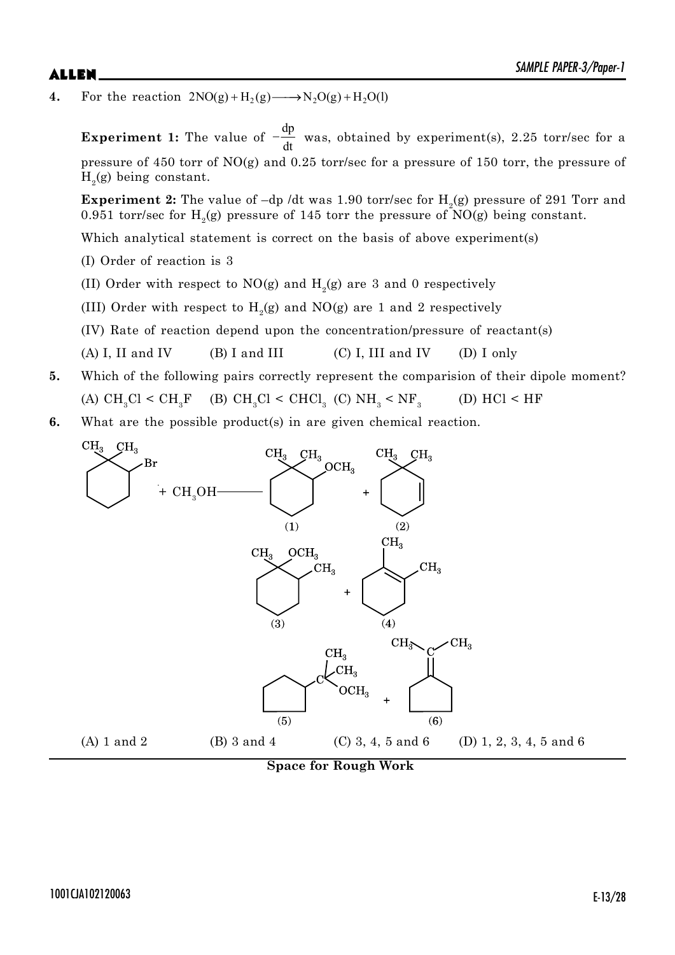**4.** For the reaction  $2NO(g) + H_2(g) \longrightarrow N_2O(g) + H_2O(l)$ 

**Experiment 1:** The value of dp  $-\frac{dp}{dt}$  was, obtained by experiment(s), 2.25 torr/sec for a pressure of 450 torr of NO(g) and 0.25 torr/sec for a pressure of 150 torr, the pressure of  $H<sub>2</sub>(g)$  being constant.

 ${\bf Experiment~2:}$  The value of  $-{\rm dp}$  /dt was  $1.90$  torr/sec for  ${\rm H_2(g)}$  pressure of  $291$   ${\rm Torr}$  and 0.951 torr/sec for  $H_2(g)$  pressure of 145 torr the pressure of NO(g) being constant.

Which analytical statement is correct on the basis of above experiment(s)

- (I) Order of reaction is 3
- (II) Order with respect to NO(g) and  $H_2$ (g) are 3 and 0 respectively
- (III) Order with respect to  $H_2(g)$  and  $NO(g)$  are 1 and 2 respectively
- (IV) Rate of reaction depend upon the concentration/pressure of reactant(s)
- (A) I, II and IV (B) I and III (C) I, III and IV (D) I only
- **5.** Which of the following pairs correctly represent the comparision of their dipole moment? (A)  $\text{CH}_3\text{Cl} < \text{CH}_3\text{F}$  (B)  $\text{CH}_3\text{Cl} < \text{CHCl}_3$  (C)  $\text{NH}_3 < \text{NF}_3$ (D)  $HCl < HF$
- **6.** What are the possible product(s) in are given chemical reaction.



**Space for Rough Work**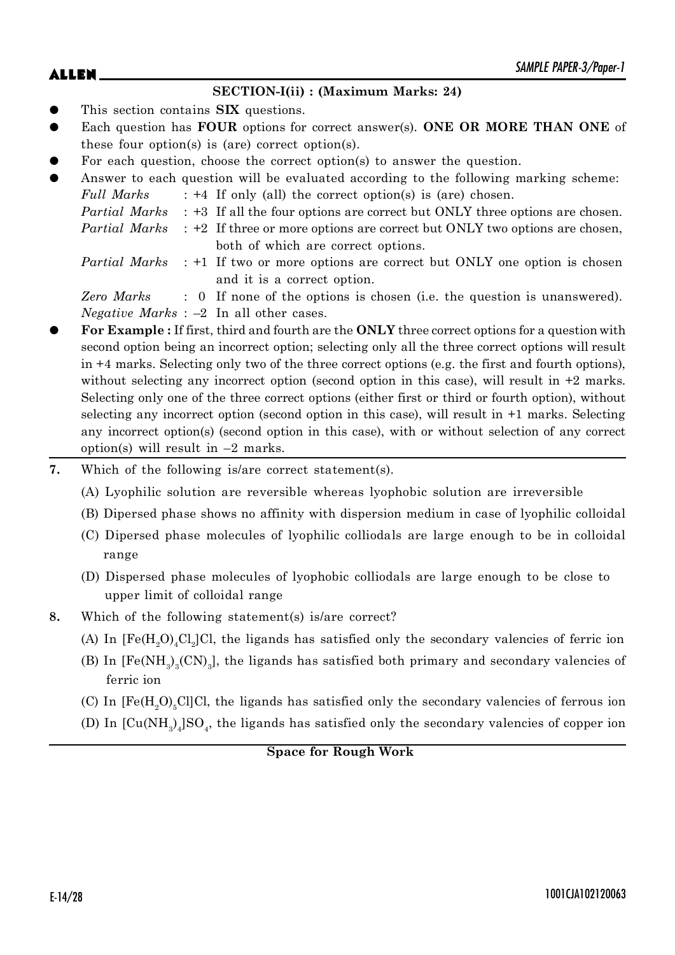## $\mathsf{ALLEN}$   $\blacksquare$

### **SECTION-I(ii) : (Maximum Marks: 24)**

- This section contains **SIX** questions.
- Each question has **FOUR** options for correct answer(s). **ONE OR MORE THAN ONE** of these four option(s) is (are) correct option(s).
- For each question, choose the correct option(s) to answer the question.
- Answer to each question will be evaluated according to the following marking scheme:

| Full Marks | $: +4$ If only (all) the correct option(s) is (are) chosen.                                      |
|------------|--------------------------------------------------------------------------------------------------|
|            | <i>Partial Marks</i> : +3 If all the four options are correct but ONLY three options are chosen. |

- *Partial Marks* : +2 If three or more options are correct but ONLY two options are chosen, both of which are correct options.
- *Partial Marks* : +1 If two or more options are correct but ONLY one option is chosen and it is a correct option.

*Zero Marks* : 0 If none of the options is chosen (i.e. the question is unanswered). *Negative Marks* : –2 In all other cases.

- z **For Example :** If first, third and fourth are the **ONLY** three correct options for a question with second option being an incorrect option; selecting only all the three correct options will result in +4 marks. Selecting only two of the three correct options (e.g. the first and fourth options), without selecting any incorrect option (second option in this case), will result in  $+2$  marks. Selecting only one of the three correct options (either first or third or fourth option), without selecting any incorrect option (second option in this case), will result in +1 marks. Selecting any incorrect option(s) (second option in this case), with or without selection of any correct option(s) will result in  $-2$  marks.
- **7.** Which of the following is/are correct statement(s).
	- (A) Lyophilic solution are reversible whereas lyophobic solution are irreversible
	- (B) Dipersed phase shows no affinity with dispersion medium in case of lyophilic colloidal
	- (C) Dipersed phase molecules of lyophilic colliodals are large enough to be in colloidal range
	- (D) Dispersed phase molecules of lyophobic colliodals are large enough to be close to upper limit of colloidal range
- **8.** Which of the following statement(s) is/are correct?
	- (A) In  $[Fe(H<sub>2</sub>O)<sub>4</sub>Cl<sub>2</sub>]Cl$ , the ligands has satisfied only the secondary valencies of ferric ion
	- (B) In  $[Fe(NH_3)_3(CN)_3]$ , the ligands has satisfied both primary and secondary valencies of ferric ion
	- (C) In  $[Fe(H, O), Cl]$ Cl, the ligands has satisfied only the secondary valencies of ferrous ion
	- (D) In  $\text{[Cu(NH)}_{3})_{4}\text{]}SO_{4}$ , the ligands has satisfied only the secondary valencies of copper ion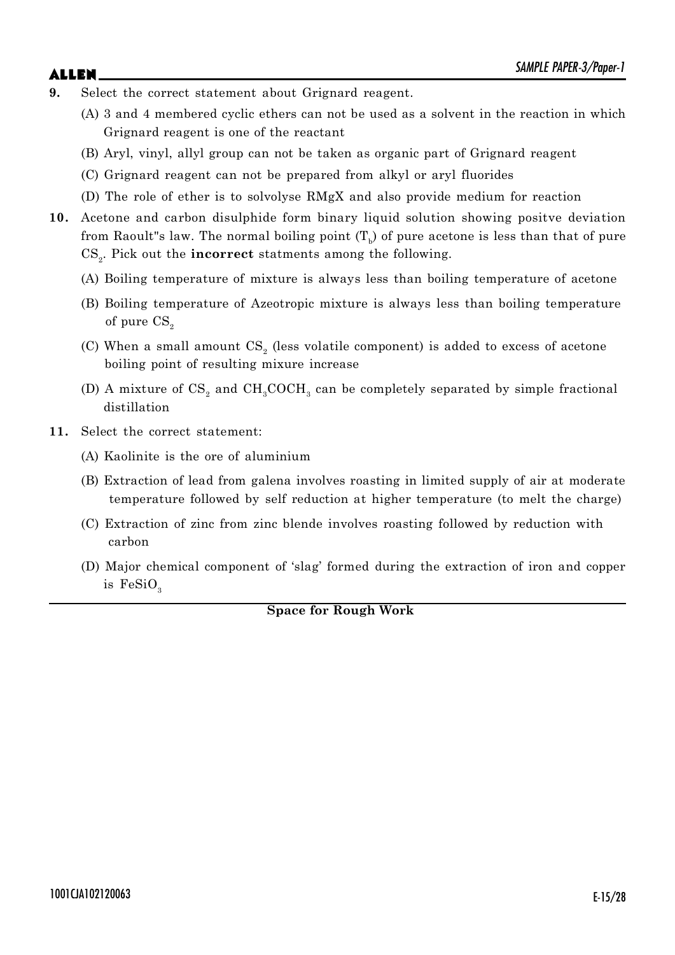- 
- **9.** Select the correct statement about Grignard reagent.
	- (A) 3 and 4 membered cyclic ethers can not be used as a solvent in the reaction in which Grignard reagent is one of the reactant
	- (B) Aryl, vinyl, allyl group can not be taken as organic part of Grignard reagent
	- (C) Grignard reagent can not be prepared from alkyl or aryl fluorides
	- (D) The role of ether is to solvolyse RMgX and also provide medium for reaction
- **10.** Acetone and carbon disulphide form binary liquid solution showing positve deviation from Raoult"s law. The normal boiling point  $(\mathrm{T_b})$  of pure acetone is less than that of pure CS<sub>2</sub>. Pick out the **incorrect** statments among the following.
	- (A) Boiling temperature of mixture is always less than boiling temperature of acetone
	- (B) Boiling temperature of Azeotropic mixture is always less than boiling temperature of pure  $CS<sub>2</sub>$
	- (C) When a small amount  $\text{CS}_2$  (less volatile component) is added to excess of acetone boiling point of resulting mixure increase
	- (D) A mixture of  $\text{CS}_2$  and  $\text{CH}_3\text{COCH}_3$  can be completely separated by simple fractional distillation
- **11.** Select the correct statement:
	- (A) Kaolinite is the ore of aluminium
	- (B) Extraction of lead from galena involves roasting in limited supply of air at moderate temperature followed by self reduction at higher temperature (to melt the charge)
	- (C) Extraction of zinc from zinc blende involves roasting followed by reduction with carbon
	- (D) Major chemical component of 'slag' formed during the extraction of iron and copper is  $FeSiO<sub>3</sub>$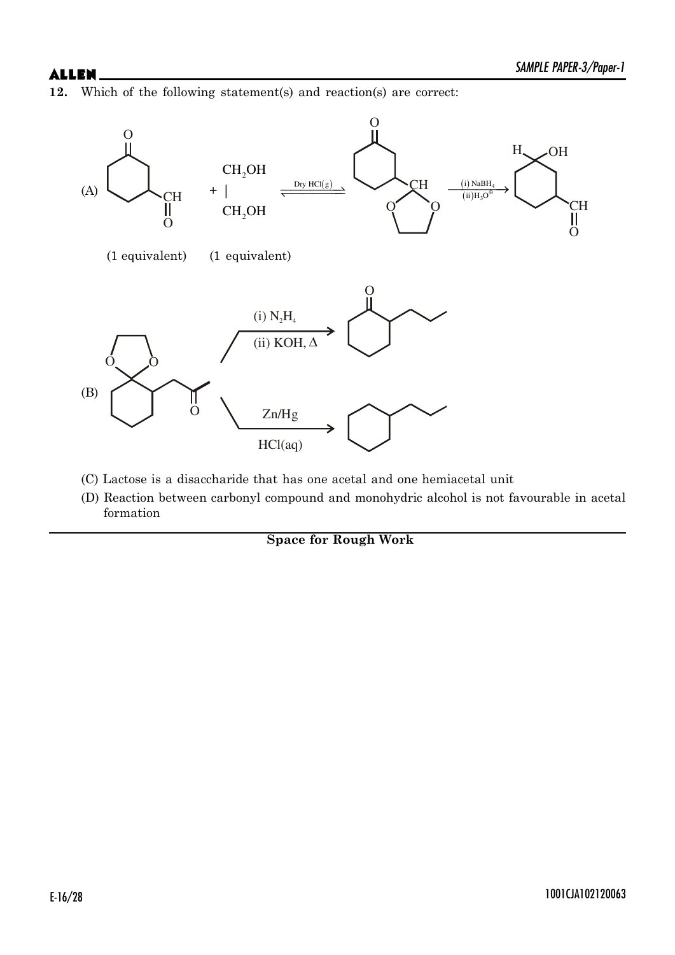**12.** Which of the following statement(s) and reaction(s) are correct:



- (C) Lactose is a disaccharide that has one acetal and one hemiacetal unit
- (D) Reaction between carbonyl compound and monohydric alcohol is not favourable in acetal formation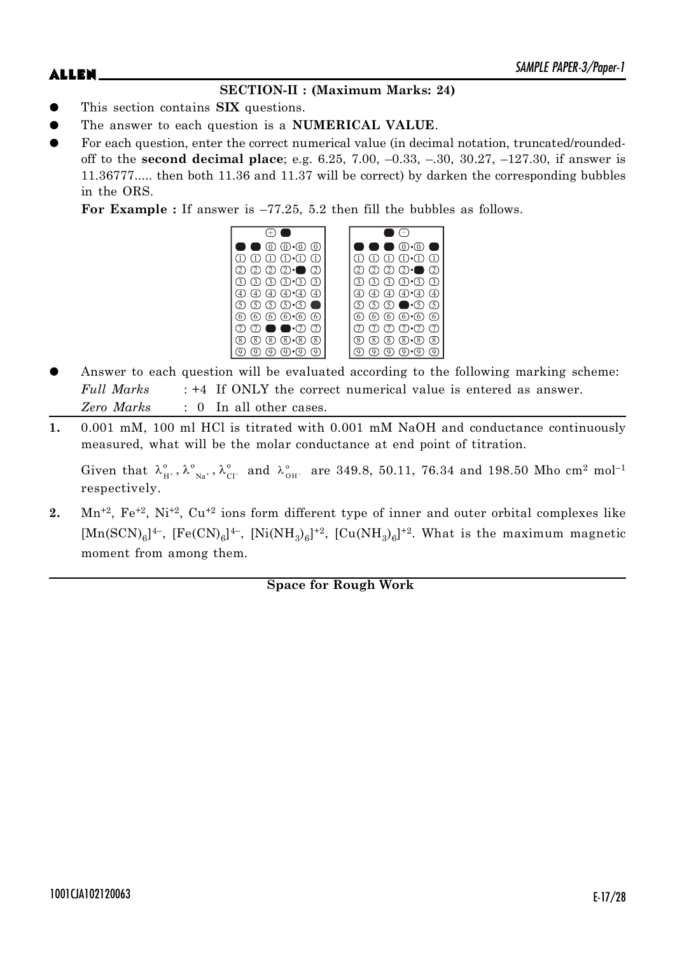## **SECTION-II : (Maximum Marks: 24)**

- This section contains **SIX** questions.
- The answer to each question is a **NUMERICAL VALUE**.
- For each question, enter the correct numerical value (in decimal notation, truncated/roundedoff to the **second decimal place**; e.g. 6.25, 7.00, –0.33, –.30, 30.27, –127.30, if answer is 11.36777..... then both 11.36 and 11.37 will be correct) by darken the corresponding bubbles in the ORS.

For Example : If answer is  $-77.25$ , 5.2 then fill the bubbles as follows.



- Answer to each question will be evaluated according to the following marking scheme: *Full Marks* : +4 If ONLY the correct numerical value is entered as answer. *Zero Marks* : 0 In all other cases.
- **1.** 0.001 mM, 100 ml HCl is titrated with 0.001 mM NaOH and conductance continuously measured, what will be the molar conductance at end point of titration.

Given that  $\lambda_{H^+}^0$ ,  $\lambda_{Na^+}^0$ ,  $\lambda_{Cl^-}^0$  and  $\lambda_{OH^-}^0$  are 349.8, 50.11, 76.34 and 198.50 Mho cm<sup>2</sup> mol<sup>-1</sup> respectively.

2. Mn<sup>+2</sup>, Fe<sup>+2</sup>, Ni<sup>+2</sup>, Cu<sup>+2</sup> ions form different type of inner and outer orbital complexes like  $[Mn(SCN)<sub>6</sub>]<sup>4-</sup>, [Fe(CN)<sub>6</sub>]<sup>4-</sup>, [Ni(NH<sub>3</sub>)<sub>6</sub>]<sup>+2</sup>, [Cu(NH<sub>3</sub>)<sub>6</sub>]<sup>+2</sup>. What is the maximum magnetic$ moment from among them.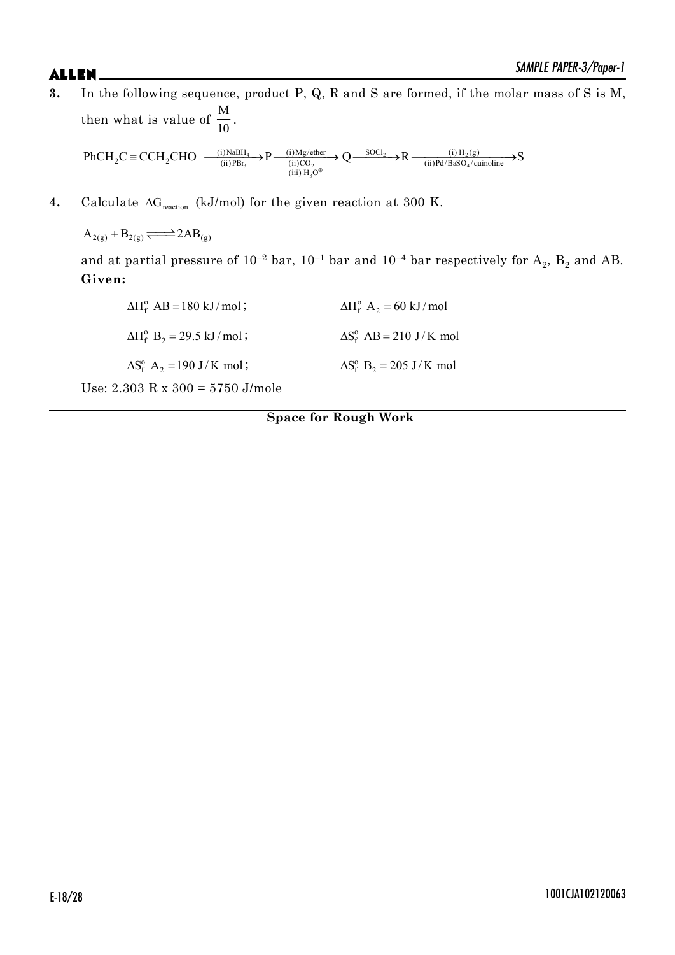**3.** In the following sequence, product P, Q, R and S are formed, if the molar mass of S is M, then what is value of M  $\frac{1}{10}$  $\overline{P}$   $\overline{P}$   $\overline{Q}$   $\overline{Q}$   $\overline{Q}$   $\overline{Q}$   $\overline{Q}$   $\overline{Q}$   $\overline{Q}$   $\overline{Q}$   $\overline{Q}$   $\overline{Q}$   $\overline{Q}$   $\overline{Q}$   $\overline{Q}$   $\overline{Q}$   $\overline{Q}$   $\overline{Q}$   $\overline{Q}$   $\overline{Q}$   $\overline{Q}$   $\overline{Q}$   $\overline{Q}$   $\overline{Q}$   $\overline{$ 3  $(\text{H})\text{C}\text{O}_2$   $(\text{H})\text{FQ}/\text{BaSO}_4$ (i) NaBH<sub>4</sub>  $\mathbf{D}$  (i) Mg/ether  $\mathbf{\Omega}$  SOCl<sub>2</sub>  $\mathbf{\Omega}$  (i) H<sub>2</sub>(g)  $2^{\mathcal{L}} = \mathcal{L} \mathcal{L} \mathbf{1} \mathcal{L} \mathcal{L} \mathbf{1} \mathcal{L}$  (ii) PBr<sub>3</sub>  $\longrightarrow \mathcal{L}$  (ii)  $\mathcal{C} \mathcal{L}$  (ii) Pd/BaSO<sub>4</sub>/quinoline  $\text{PhCH}_2C \equiv \text{CCH}_2\text{CHO}$   $\xrightarrow{\text{(i)NabH}_4} \text{P} \xrightarrow{\text{(i)Mg/ether}} \text{Q} \xrightarrow{\text{SOL}_2} \text{R} \xrightarrow{\text{(i)H}_2(g)} \text{SCH}_2 \xrightarrow{\text{(ii)H}_2(g)} \text{SCH}_2$  ${}^{\equiv}$  CCH<sub>2</sub>CHO  $\longrightarrow$   ${}^{\text{(1)N}{\text{aB}}H_4}$   ${}^{\rightarrow}$  P $\longrightarrow$   ${}^{\text{(1)Mg/ether}}$  Q $\longrightarrow$  R $\longrightarrow$   ${}^{\text{(1)H}_2(g)}$ 

3

Œ

 $(iii)$  H<sub>3</sub>O

**4.** Calculate  $\Delta G_{\text{reaction}}$  (kJ/mol) for the given reaction at 300 K.

 $A_{2(g)} + B_{2(g)} \rightleftharpoons 2AB_{(g)}$ 

and at partial pressure of  $10^{-2}$  bar,  $10^{-1}$  bar and  $10^{-4}$  bar respectively for  $\mathrm{A}_2^{}$ ,  $\mathrm{B}_2^{}$  and  $\mathrm{AB}$ . **Given:**

| $\Delta H_f^{\circ}$ AB = 180 kJ/mol;              | $\Delta H_f^{\circ}$ A <sub>2</sub> = 60 kJ/mol |
|----------------------------------------------------|-------------------------------------------------|
| $\Delta H_f^o$ B <sub>2</sub> = 29.5 kJ/mol;       | $\Delta S_f^{\circ}$ AB = 210 J/K mol           |
| $\Delta S_f^{\circ}$ A <sub>2</sub> = 190 J/K mol; | $\Delta S_f^o$ B <sub>2</sub> = 205 J/K mol     |
| $0.000 D 0.00 - 2720 U 1$                          |                                                 |

Use: 2.303 R x 300 = 5750 J/mole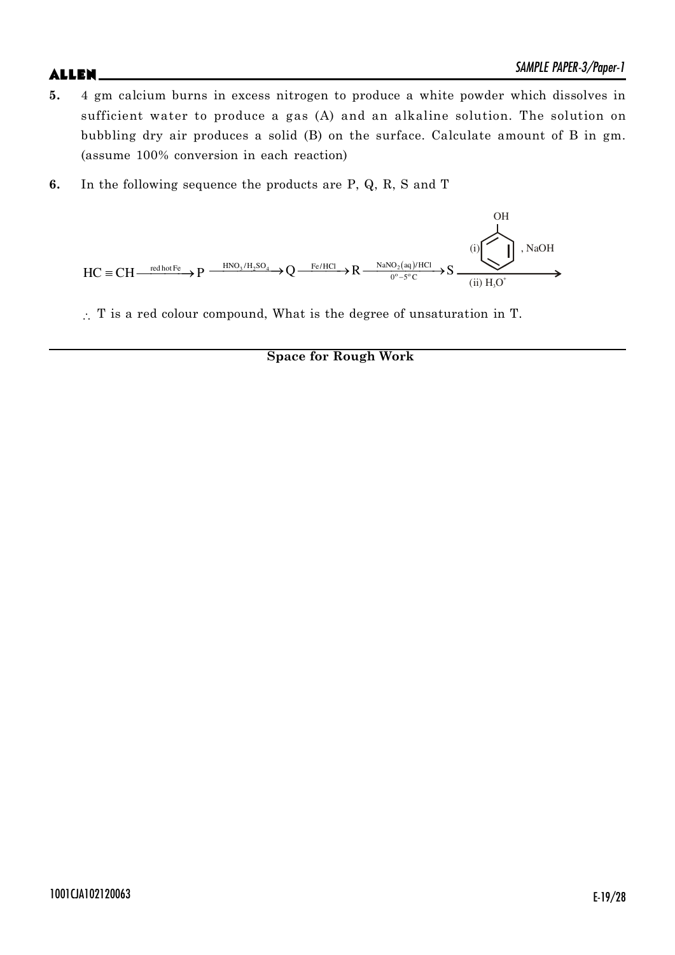- **5.** 4 gm calcium burns in excess nitrogen to produce a white powder which dissolves in sufficient water to produce a gas (A) and an alkaline solution. The solution on bubbling dry air produces a solid (B) on the surface. Calculate amount of B in gm. (assume 100% conversion in each reaction)
- **6.** In the following sequence the products are P, Q, R, S and T



 $\therefore$  T is a red colour compound, What is the degree of unsaturation in T.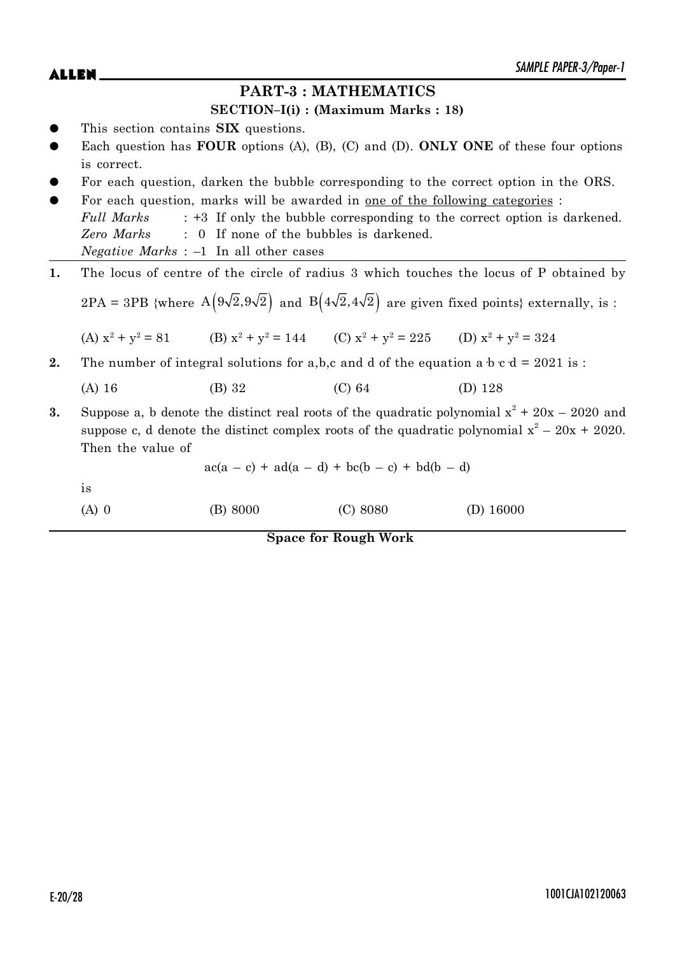## **PART-3 : MATHEMATICS**

## **SECTION–I(i) : (Maximum Marks : 18)**

- This section contains **SIX** questions.
- Each question has **FOUR** options (A), (B), (C) and (D). **ONLY ONE** of these four options is correct.
- For each question, darken the bubble corresponding to the correct option in the ORS.
- For each question, marks will be awarded in one of the following categories : *Full Marks* : +3 If only the bubble corresponding to the correct option is darkened. *Zero Marks* : 0 If none of the bubbles is darkened. *Negative Marks* : –1 In all other cases
- **1.** The locus of centre of the circle of radius 3 which touches the locus of P obtained by

2PA = 3PB {where  $A(9\sqrt{2}, 9\sqrt{2})$  and  $B(4\sqrt{2}, 4\sqrt{2})$  are given fixed points} externally, is :

(A)  $x^2 + y^2 = 81$  (B)  $x^2 + y^2 = 144$  (C)  $x^2 + y^2 = 225$  (D)  $x^2 + y^2 = 324$ 

**2.** The number of integral solutions for a,b,c and d of the equation a  $b \text{ c d} = 2021$  is :

(A) 16 (B) 32 (C) 64 (D) 128

**3.** Suppose a, b denote the distinct real roots of the quadratic polynomial  $x^2 + 20x - 2020$  and suppose c, d denote the distinct complex roots of the quadratic polynomial  $x^2 - 20x + 2020$ . Then the value of

 $ac(a - c) + ad(a - d) + bc(b - c) + bd(b - d)$ 

is

(A) 0 (B) 8000 (C) 8080 (D) 16000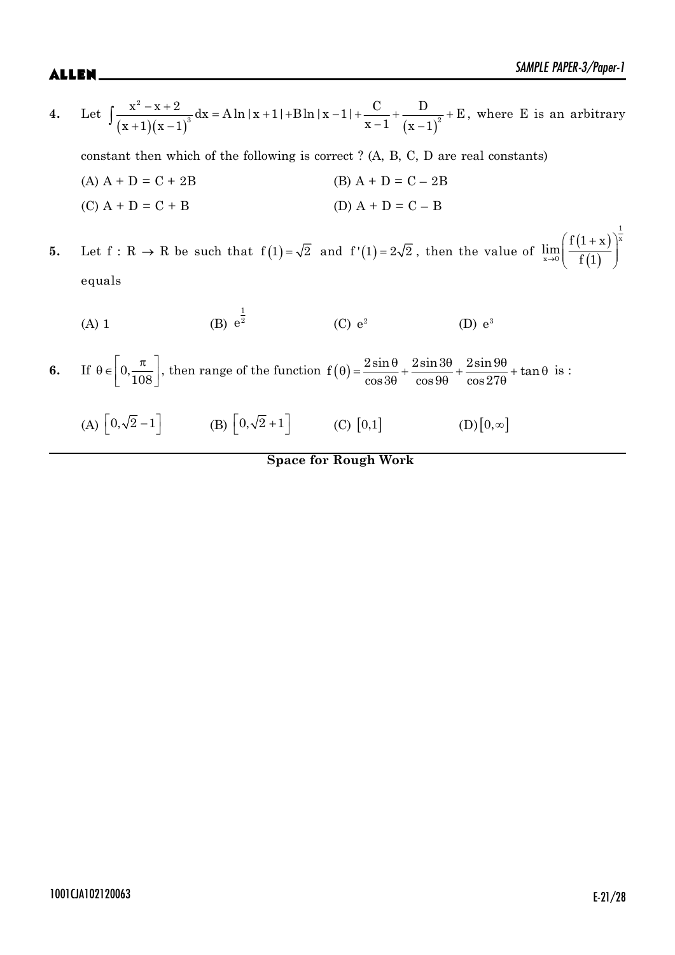1

4. Let 
$$
\int \frac{x^2 - x + 2}{(x + 1)(x - 1)^3} dx = A \ln|x + 1| + B \ln|x - 1| + \frac{C}{x - 1} + \frac{D}{(x - 1)^2} + E
$$
, where E is an arbitrary

constant then which of the following is correct ? (A, B, C, D are real constants)

- (A)  $A + D = C + 2B$  (B)  $A + D = C 2B$ (C)  $A + D = C + B$  (D)  $A + D = C - B$
- **5.** Let  $f: R \to R$  be such that  $f(1)=\sqrt{2}$  and  $f'(1)=2\sqrt{2}$ , then the value of  $(1+x)$  $\overline{(1)}$ x  $x\rightarrow 0$  $f(1 + x)$  $\lim_{x\to 0} \left( \frac{1}{1} \right)$  $(f(1+x))^x$  $\frac{1}{\alpha}$  $(1)$  ) equals

(A) 1 (B) 
$$
e^{\frac{1}{2}}
$$
 (C)  $e^2$  (D)  $e^3$ 

**6.** If  $\theta \in \left[0, \frac{\pi}{108}\right]$ , then range of the function  $f(\theta) = \frac{2\sin\theta}{\cos 3\theta} + \frac{2\sin 3\theta}{\cos 9\theta} + \frac{2\sin 9\theta}{\cos 27\theta}$  + tan  $\theta$ ) =  $\frac{2\sin\theta}{\cos\theta} + \frac{2\sin 3\theta}{\cos\theta} + \frac{2\sin 9\theta}{\cos\theta} + \tan\theta$  $\theta$   $\cos 9\theta$   $\cos 27\theta$ is :

(A)  $\left[0, \sqrt{2} - 1\right]$  (B)  $\left[0, \sqrt{2} + 1\right]$  (C)  $\left[0, 1\right]$  (D)  $\left[0, \infty\right]$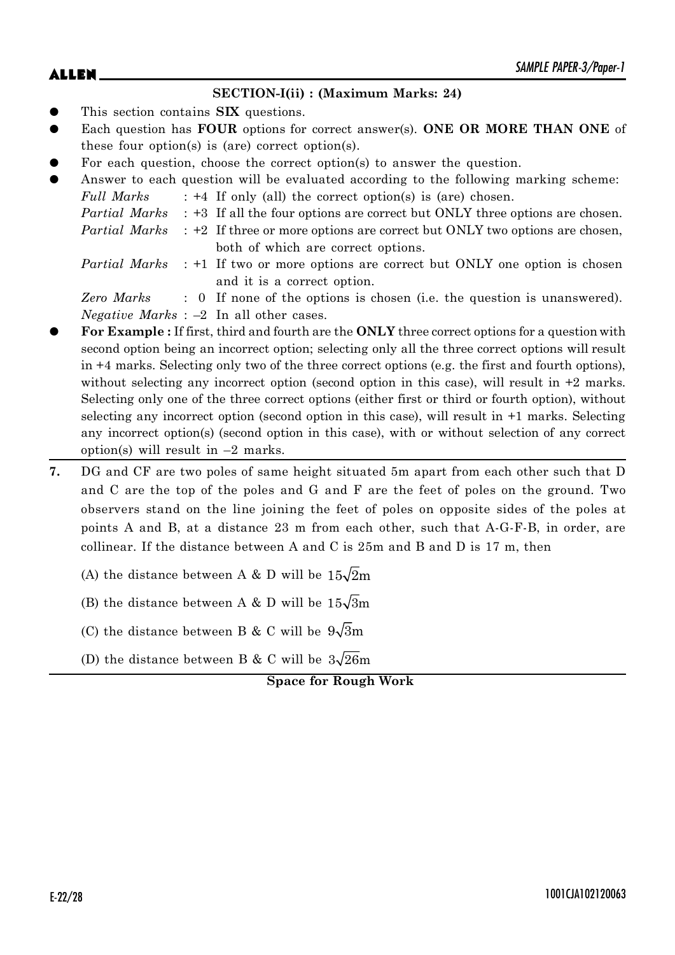### **SECTION-I(ii) : (Maximum Marks: 24)**

- This section contains **SIX** questions.
- Each question has **FOUR** options for correct answer(s). **ONE OR MORE THAN ONE** of these four option(s) is (are) correct option(s).
- For each question, choose the correct option(s) to answer the question.

| $\bullet$ |            | Answer to each question will be evaluated according to the following marking scheme:             |
|-----------|------------|--------------------------------------------------------------------------------------------------|
|           | Full Marks | $: +4$ If only (all) the correct option(s) is (are) chosen.                                      |
|           |            | <i>Partial Marks</i> : +3 If all the four options are correct but ONLY three options are chosen. |
|           |            | <i>Partial Marks</i> : +2 If three or more options are correct but ONLY two options are chosen,  |
|           |            | both of which are correct options.                                                               |
|           |            | <i>Partial Marks</i> : +1 If two or more options are correct but ONLY one option is chosen       |
|           |            | and it is a correct option.                                                                      |
|           |            |                                                                                                  |

*Zero Marks* : 0 If none of the options is chosen (i.e. the question is unanswered). *Negative Marks* : –2 In all other cases.

- z **For Example :** If first, third and fourth are the **ONLY** three correct options for a question with second option being an incorrect option; selecting only all the three correct options will result in +4 marks. Selecting only two of the three correct options (e.g. the first and fourth options), without selecting any incorrect option (second option in this case), will result in  $+2$  marks. Selecting only one of the three correct options (either first or third or fourth option), without selecting any incorrect option (second option in this case), will result in +1 marks. Selecting any incorrect option(s) (second option in this case), with or without selection of any correct option(s) will result in  $-2$  marks.
- **7.** DG and CF are two poles of same height situated 5m apart from each other such that D and C are the top of the poles and G and F are the feet of poles on the ground. Two observers stand on the line joining the feet of poles on opposite sides of the poles at points A and B, at a distance 23 m from each other, such that A-G-F-B, in order, are collinear. If the distance between A and C is 25m and B and D is 17 m, then
	- (A) the distance between A & D will be  $15\sqrt{2}m$
	- (B) the distance between A & D will be  $15\sqrt{3}m$
	- (C) the distance between B & C will be  $9\sqrt{3m}$
	- (D) the distance between B & C will be  $3\sqrt{26m}$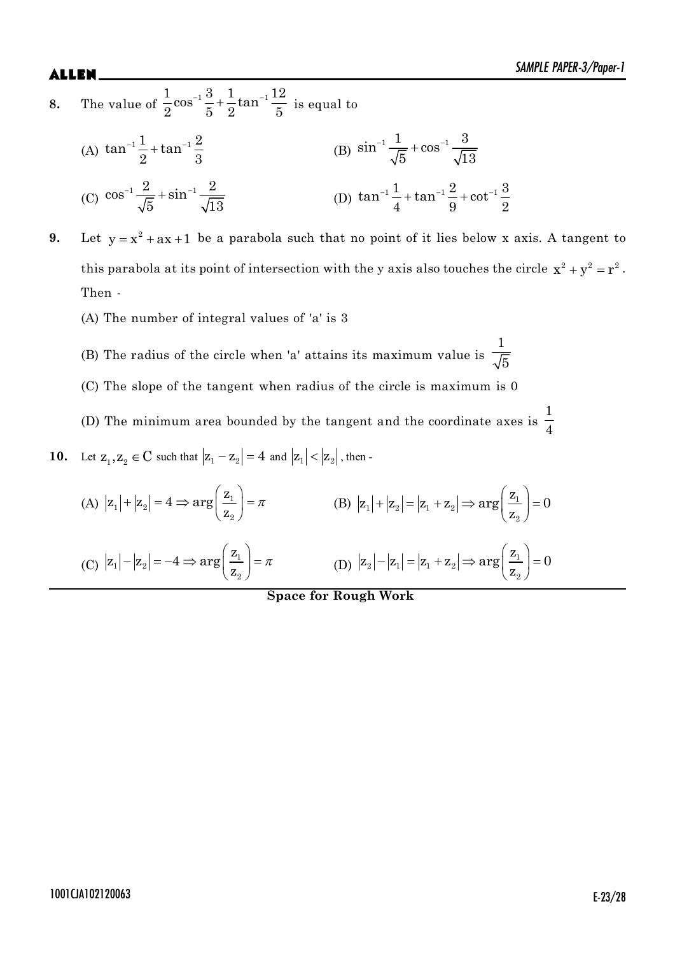**8.** The value of  $\frac{1}{2} \cos^{-1} \frac{3}{5} + \frac{1}{2} \tan^{-1} \frac{12}{5}$  $\frac{2}{2}$ cos<sup>-1</sup> $\frac{1}{5}$  +  $\frac{1}{2}$ tan<sup>-1</sup>  $\frac{1}{5}$  is equal to

(A) 
$$
\tan^{-1}\frac{1}{2} + \tan^{-1}\frac{2}{3}
$$
  
\n(B)  $\sin^{-1}\frac{1}{\sqrt{5}} + \cos^{-1}\frac{3}{\sqrt{13}}$   
\n(C)  $\cos^{-1}\frac{2}{\sqrt{5}} + \sin^{-1}\frac{2}{\sqrt{13}}$   
\n(D)  $\tan^{-1}\frac{1}{4} + \tan^{-1}\frac{2}{9} + \cot^{-1}\frac{3}{2}$ 

- **9.** Let  $y = x^2 + ax + 1$  be a parabola such that no point of it lies below x axis. A tangent to this parabola at its point of intersection with the y axis also touches the circle  $x^2 + y^2 = r^2$ . Then -
	- (A) The number of integral values of 'a' is 3
	- (B) The radius of the circle when 'a' attains its maximum value is 1  $\bf{5}$
	- (C) The slope of the tangent when radius of the circle is maximum is 0
	- (D) The minimum area bounded by the tangent and the coordinate axes is 1 4

**10.** Let 
$$
z_1, z_2 \in C
$$
 such that  $|z_1 - z_2| = 4$  and  $|z_1| < |z_2|$ , then -

(A) 
$$
|z_1| + |z_2| = 4 \Rightarrow \arg\left(\frac{z_1}{z_2}\right) = \pi
$$
  
\n(B)  $|z_1| + |z_2| = |z_1 + z_2| \Rightarrow \arg\left(\frac{z_1}{z_2}\right) = 0$   
\n(C)  $|z_1| - |z_2| = -4 \Rightarrow \arg\left(\frac{z_1}{z_2}\right) = \pi$   
\n(D)  $|z_2| - |z_1| = |z_1 + z_2| \Rightarrow \arg\left(\frac{z_1}{z_2}\right) = 0$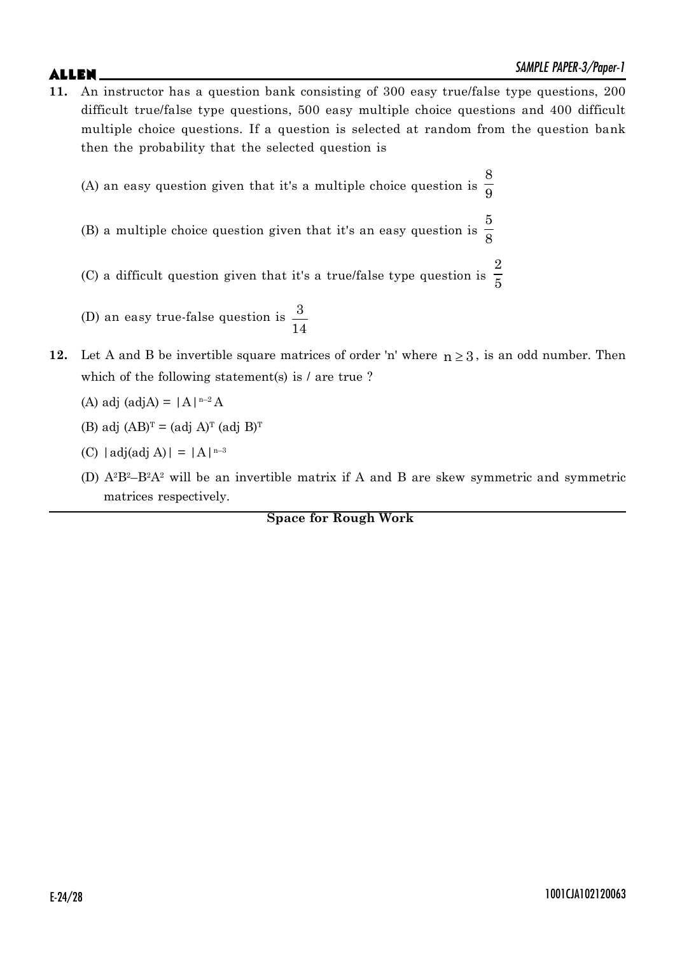**11.** An instructor has a question bank consisting of 300 easy true/false type questions, 200 difficult true/false type questions, 500 easy multiple choice questions and 400 difficult multiple choice questions. If a question is selected at random from the question bank then the probability that the selected question is

(A) an easy question given that it's a multiple choice question is 8 9

- (B) a multiple choice question given that it's an easy question is 5 8
- (C) a difficult question given that it's a true/false type question is 2 5
- (D) an easy true-false question is  $\frac{3}{5}$ 14
- **12.** Let A and B be invertible square matrices of order 'n' where  $n \geq 3$ , is an odd number. Then which of the following statement(s) is / are true ?
	- (A) adj (adjA) =  $|A|^{n-2}A$
	- $(B)$  adj  $(AB)^T = (adj A)^T (adj B)^T$
	- (C)  $|adj(adj A)| = |A|^{n-3}$
	- (D)  $A^2B^2-B^2A^2$  will be an invertible matrix if A and B are skew symmetric and symmetric matrices respectively.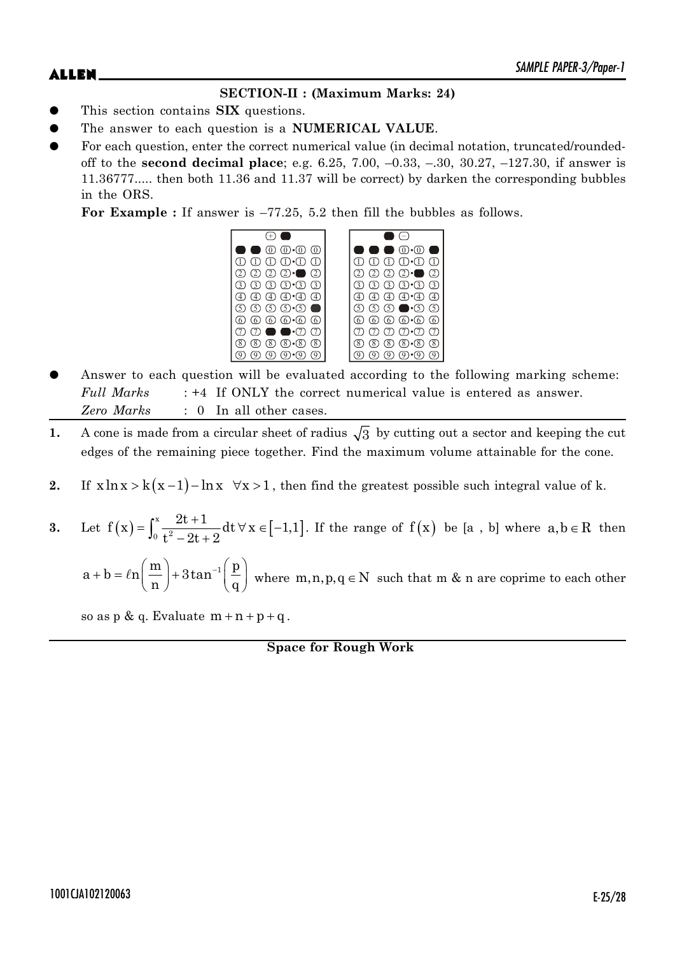## **SECTION-II : (Maximum Marks: 24)**

- This section contains **SIX** questions.
- The answer to each question is a **NUMERICAL VALUE**.
- For each question, enter the correct numerical value (in decimal notation, truncated/roundedoff to the **second decimal place**; e.g. 6.25, 7.00, –0.33, –.30, 30.27, –127.30, if answer is 11.36777..... then both 11.36 and 11.37 will be correct) by darken the corresponding bubbles in the ORS.

**For Example :** If answer is –77.25, 5.2 then fill the bubbles as follows.

| $(0, 0) \cdot (0, 0)$                                                                     | $(0) \cdot (0)$                                                                                  |
|-------------------------------------------------------------------------------------------|--------------------------------------------------------------------------------------------------|
| $\textcircled{1}$ $\textcircled{1}$ $\textcircled{1}$ $\textcircled{1}$ $\textcircled{1}$ | $\textcircled{\tiny{1}}\cdot\textcircled{\tiny{1}}$<br>T)                                        |
| $(2)$ $(2)$ $\cdot$<br>(2)<br>$\circled{2}$                                               | (2)<br>⊖                                                                                         |
| $(3)$ $(3)$ $(3)$ $(3)$                                                                   | $(3) \cdot (3)$<br>(3)<br>(3)                                                                    |
| $\textcircled{4}$ $\textcircled{4}$ $\cdot \textcircled{4}$ $\textcircled{4}$             | $\bigoplus$ • $\bigoplus$<br>$\overline{4}$<br>(4)                                               |
| டு டு டு டு•்டு <b>—</b>                                                                  | டு ட <b>ெ</b> டு டு<br>(5)                                                                       |
| 6 6 6 6 6 6                                                                               | $\circledcirc$ $\circledcirc$ $\circledcirc$<br>(6)<br>$\cdot 6$                                 |
| $\cdot$ $\tau$<br>(7)                                                                     |                                                                                                  |
| $(8)$ $(8)$ $(8)$<br>(8)<br>(8)                                                           | 8<br>(8)<br>$\overline{\mathcal{E}}$<br>$\overline{\mathcal{8}}$<br>$\overline{8}$<br>$\sqrt{8}$ |
|                                                                                           |                                                                                                  |

- Answer to each question will be evaluated according to the following marking scheme: *Full Marks* : +4 If ONLY the correct numerical value is entered as answer. *Zero Marks* : 0 In all other cases.
- **1.** A cone is made from a circular sheet of radius  $\sqrt{3}$  by cutting out a sector and keeping the cut edges of the remaining piece together. Find the maximum volume attainable for the cone.
- **2.** If  $x \ln x > k(x-1) \ln x \quad \forall x > 1$ , then find the greatest possible such integral value of k.
- **3.** Let  $f(x) = \int_0^x \frac{2t+1}{t^2-2t+2} dt \forall x \in [-1,1]$  $f(x) = \int_0^x \frac{2t+1}{t^2-2t+2} dt \,\forall x \in [-1,1]$  $t^2 - 2t + 2$  $=\int_0^x \frac{2t+1}{t^2-2t+2} dt \,\forall x \in [-1,1]$ . If the range of  $f(x)$  be [a, b] where  $a,b \in R$  then

 $a + b = ln\left(\frac{m}{m}\right) + 3tan^{-1}\left(\frac{p}{m}\right)$  $n \int$  q  $s + b = \ln\left(\frac{m}{n}\right) + 3\tan^{-1}\left(\frac{p}{q}\right)$  where  $m, n, p, q \in N$  such that m & n are coprime to each other

so as  $p \& q$ . Evaluate  $m + n + p + q$ .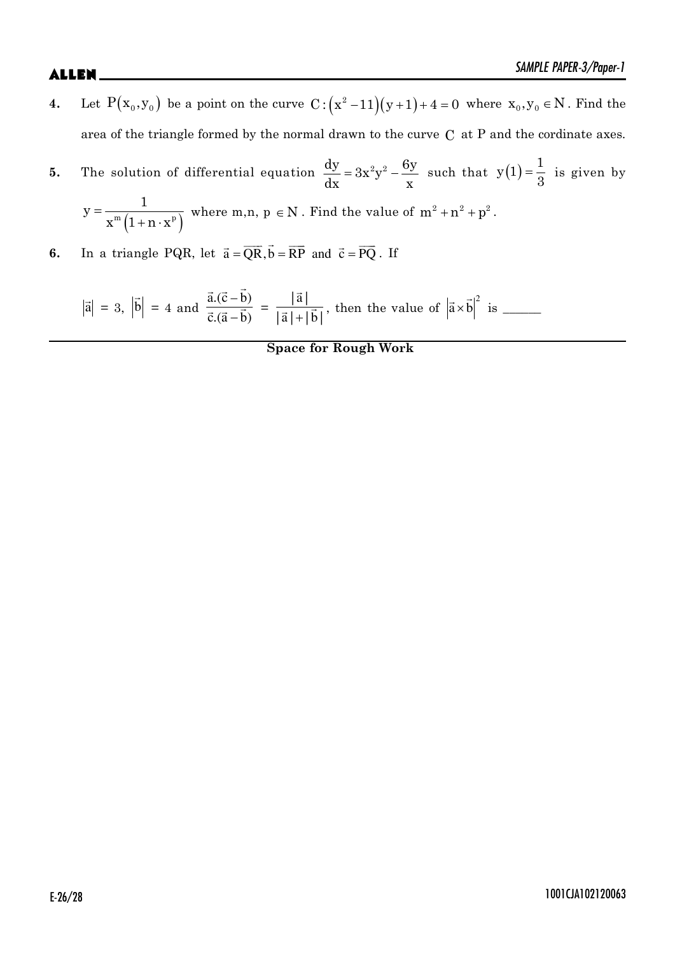- **4.** Let  $P(x_0, y_0)$  be a point on the curve  $C: (x^2 11)(y + 1) + 4 = 0$  where  $x_0, y_0 \in N$ . Find the area of the triangle formed by the normal drawn to the curve C at P and the cordinate axes.
- **5.** The solution of differential equation  $\frac{dy}{dx} = 3x^2y^2 \frac{6y}{x^2}$  $dx$  x  $=3x^2y^2 - \frac{6y}{y}$  such that  $y(1) = \frac{1}{2}$ 3  $=\frac{1}{2}$  is given by

$$
y = \frac{1}{x^m \left(1 + n \cdot x^p\right)}
$$
 where  $m, n, p \in N$ . Find the value of  $m^2 + n^2 + p^2$ .

**6.** In a triangle PQR, let  $\vec{a} = \overline{QR}, \vec{b} = \overline{RP}$  and  $\vec{c} = \overline{PQ}$ . If

 $|\vec{a}| = 3$ ,  $\overline{a}$  $|b| = 4$  and  $\overline{a}$  $\vec{a}$   $\vec{b}$  $\frac{a \cdot (c - b)}{\vec{a} + \vec{b}}$  $\vec{a}.(\vec{c}-b)$  $\vec{c} \cdot (\vec{a} - b)$  =  $^{+}$  $\vec{a}$  $\frac{14}{7}$   $\frac{1}{16}$ |a|  $\frac{|\mathbf{a}|}{|\mathbf{a}| + |\mathbf{b}|}$ , then the value of  $|\mathbf{a} \times$ G G <sup>2</sup> a b is \_\_\_\_\_\_